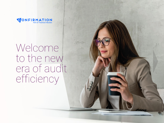

# Welcome to the new era of audit<br>efficiency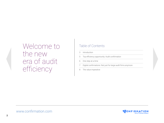## Welcome to the new era of audit efficiency

#### Table of Contents

- 3 Introduction
- 5 Top efficiency opportunity: Audit confirmation
- 6 One step at a time
- Digital confirmations: Not just for large audit firms anymore
- 8 The value imperative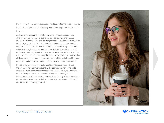In a recent CPA.com survey, auditors pointed to new technologies as the key to unlocking higher levels of efficiency. Here's how they're putting this tech to work.

Auditors are always on the hunt for new ways to make the audit more efficient. By their very nature, audits are time-consuming and processintensive — characteristics that have significant ripple effects throughout the audit firm, regardless of size. The more time auditors spend on laborious, largely repetitive tasks, the less time they have available to spend on more valuable, strategic tasks that require human insight. The effects on audit quality can be equally significant because the more time auditors spend on repetitive tasks such as data entry, the greater the opportunity for errors. For all these reasons and more, the lean, efficient audit is the holy grail for most auditors — and most would agree there is always room for improvement.

Ironically, the processes that make audits so notoriously complex are the source of new optimism regarding the potential for increasing audit efficiency. That's because new technologies have the ability to dramatically improve many of these processes — and they are delivering. These technologies are not unique to accounting; in fact, many of them have been pioneered and tested in other industries, and are now being modified and applied to the accounting profession.



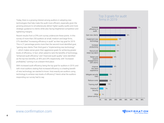Today, there is a growing interest among auditors in adopting new technologies that help make the audit more efficient, especially given the growing pressure to simultaneously deliver higher quality audits and more strategic guidance to clients while also facing heightened competition and tightening margins.

Recent results from a CPA.com survey underscore these points. In this survey of more than 250 auditors at small, medium and large firms, 27% identified "increasing efficiency in audit" as their top goal for 2019. This is 21 percentage points more than the second most-identified goal, "gaining new clients.Their third goal is "implementing new technology" — which makes sense given their aggressive goals for achieving greater levels of efficiency. In fact, when asked to rank the benefits of technology, "enhanced audit efficiency" and "improved audit quality" were identified as the top-two benefits, at 40% and 29% respectively, with "increased profitability" coming in at a distant third place.

With increased audit efficiency being the top goal for auditors in 2019, and with most auditors stating that increased efficiency is a leading benefit of new technology, we wanted to know: How exactly are auditors using technology to achieve new levels of efficiency? Here's what the auditors responding our survey had to say.

#### Top 3 goals for audit firms in 2019



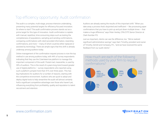#### Top efficiency opportunity: Audit confirmation

The audit is a complex, multi-stage, process-intensive undertaking, presenting many potential targets for efficiency-focused innovation. So where to start? The audit confirmation process stands out as a prime target for this type of innovation. Audit confirmation is replete with manual, repetitive, time-consuming steps such as testing the completeness of populations, sampling and sending confirmations, comparing confirmations with client-provided information, resending confirmations, and more — many of which could be either replaced or assisted by technology. There are ample signs that this shift is already underway among auditors today.

Online management of the confirmation request process is now the top method in use among auditors today, with 44% of survey respondents indicating that they use the CONFIRMATION platform to manage this important component of the audit. Postal mail, meanwhile, is used by 39% of auditors. This is the result of a years-long trend toward greater use of digital platforms — survey respondents who reported using such a platform jumped more than 41% over three years. This has big implications for auditors for a number of reasons, starting with the competitive environment. Auditors who are quick to adopt and deploy digital tools to help streamline the audit will almost certainly hold a significant competitive advantage over those who haven't yet, influencing everything from profitability, quality and reputation to talent recruitment and retention.

Auditors are already seeing the results of this important shift. "When you take away a process that's disjointed and inefficient  $-$  like processing paper confirmations that you have to pick up and put down multiple times — that makes a huge difference," says Peter Henley, CPA/CITP, Senior Director at Clark Number P.S.

Just as important, clients can see the difference, too. "We've realized significant administrative savings," says Sam Timothy, president and owner of Timothy, DeVolt and Company, P.C., "and we have received the same feedback from our audit clients." 

#### How much are each of the following methods used by your firm to request confirmations?



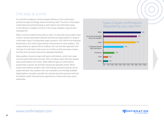#### One step at a time

For audit firms seeking to achieve greater efficiency in the confirmation process through technology, where should they start? The truth is that today's confirmation-focused technology is well-suited to all confirmation types, so this decision is largely a function of the unique variables in play at each individual firm.

When it comes to determining where to start, it is clear that most auditors have choices. Survey respondents reported that they are responsible for a range of confirmation types, including bank, legal, insurance, HUD, AR/AP, and employee benefit plans, all of which figure heavily in the process for most auditors. This range presents an opportunity for auditors, who can test their approach with one type of confirmation, then move on to others as their processes mature and they find successes that can be replicated elsewhere.

Many auditors choose to begin with bank confirmations, which loom large over the audit confirmation process. 93% of auditors report that they request audit confirmations from banks. While different types of confirmations present their nuances, the activities required are generally similar. Which means that wherever auditors start, their findings and best practices can be easily extended. Plus, auditors who use a standard, commercially available digital platform are able to benefit from industry-level best practices built into the platform itself, informed by the experiences of others who have used it extensively.

#### Types of audit confirmations requested by your own firm.

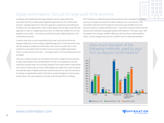

### Digital confirmations: Not just for large audit firms anymore

In keeping with traditional technology adoption trends, larger audit firms have been the first to widely adopt digital-led approaches to the confirmation process. Typically, larger firms have the capacity to experiment and willingness to adopt such new approaches, while smaller players tend to take a wait-and-see approach in order to mitigate perceived risks. So where are smaller firms on the adoption curve today  $-$  and where should they be given digital advances in the confirmation process?

It seems clear from survey respondents that small- and mid-size firms are already making the move to adopt a digital-led approach. At the same time, they still rely heavily on traditional confirmation tools, such as postal mail. In fact, small firms use postal mail more than twice as much as digital approaches. There is a clear trend at work here  $-$  the larger the firm, the more likely they are to go digital.

There are a range of factors at work behind this trend. Smaller firms are looking to large, early-adopter firms as bellwethers for their own experiences and are looking for positive signs of successful adoption from others before making their own moves. Scale is also an issue. While leaders at smaller firms may recognize the potential value of digital tools, they may think they do not have the resources to change a longstanding practice. But that is quickly changing, as these survey results show. The value equation for small- and mid-sized firms is shifting.

Kim Thomason, a Nashville-based sole practitioner who managed the auditing process at a large accounting firm before setting up her own practice, was surprised to find that even the large firm that previously handled one of her accounts relied on a paper-based process. "I was blown away by the fact that the previous firm had been using paper-based confirmations," Thomason says. With the greater time savings, workflow efficiency, and security an online platform offers, I cannot imagine why any firm wouldn't want to make that transition." 

#### How much are each of the following methods used by your firm to request confirmations?





#### www.confirmation.com